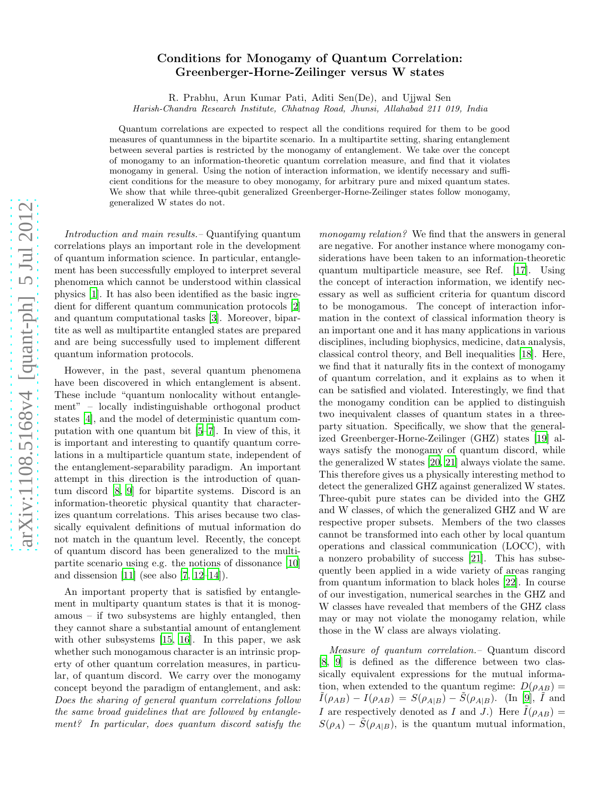## Conditions for Monogamy of Quantum Correlation: Greenberger-Horne-Zeilinger versus W states

R. Prabhu, Arun Kumar Pati, Aditi Sen(De), and Ujjwal Sen

Harish-Chandra Research Institute, Chhatnag Road, Jhunsi, Allahabad 211 019, India

Quantum correlations are expected to respect all the conditions required for them to be good measures of quantumness in the bipartite scenario. In a multipartite setting, sharing entanglement between several parties is restricted by the monogamy of entanglement. We take over the concept of monogamy to an information-theoretic quantum correlation measure, and find that it violates monogamy in general. Using the notion of interaction information, we identify necessary and sufficient conditions for the measure to obey monogamy, for arbitrary pure and mixed quantum states. We show that while three-qubit generalized Greenberger-Horne-Zeilinger states follow monogamy, generalized W states do not.

Introduction and main results.– Quantifying quantum correlations plays an important role in the development of quantum information science. In particular, entanglement has been successfully employed to interpret several phenomena which cannot be understood within classical physics [\[1\]](#page-3-0). It has also been identified as the basic ingredient for different quantum communication protocols [\[2](#page-3-1)] and quantum computational tasks [\[3](#page-3-2)]. Moreover, bipartite as well as multipartite entangled states are prepared and are being successfully used to implement different quantum information protocols.

However, in the past, several quantum phenomena have been discovered in which entanglement is absent. These include "quantum nonlocality without entanglement" – locally indistinguishable orthogonal product states [\[4\]](#page-3-3), and the model of deterministic quantum computation with one quantum bit [\[5](#page-3-4)[–7\]](#page-3-5). In view of this, it is important and interesting to quantify quantum correlations in a multiparticle quantum state, independent of the entanglement-separability paradigm. An important attempt in this direction is the introduction of quantum discord [\[8](#page-3-6), [9](#page-3-7)] for bipartite systems. Discord is an information-theoretic physical quantity that characterizes quantum correlations. This arises because two classically equivalent definitions of mutual information do not match in the quantum level. Recently, the concept of quantum discord has been generalized to the multipartite scenario using e.g. the notions of dissonance [\[10](#page-3-8)] and dissension  $[11]$  (see also  $[7, 12-14]$  $[7, 12-14]$  $[7, 12-14]$ ).

An important property that is satisfied by entanglement in multiparty quantum states is that it is monogamous – if two subsystems are highly entangled, then they cannot share a substantial amount of entanglement with other subsystems [\[15](#page-3-12), [16\]](#page-3-13). In this paper, we ask whether such monogamous character is an intrinsic property of other quantum correlation measures, in particular, of quantum discord. We carry over the monogamy concept beyond the paradigm of entanglement, and ask: Does the sharing of general quantum correlations follow the same broad guidelines that are followed by entanglement? In particular, does quantum discord satisfy the

monogamy relation? We find that the answers in general are negative. For another instance where monogamy considerations have been taken to an information-theoretic quantum multiparticle measure, see Ref. [\[17\]](#page-3-14). Using the concept of interaction information, we identify necessary as well as sufficient criteria for quantum discord to be monogamous. The concept of interaction information in the context of classical information theory is an important one and it has many applications in various disciplines, including biophysics, medicine, data analysis, classical control theory, and Bell inequalities [\[18](#page-3-15)]. Here, we find that it naturally fits in the context of monogamy of quantum correlation, and it explains as to when it can be satisfied and violated. Interestingly, we find that the monogamy condition can be applied to distinguish two inequivalent classes of quantum states in a threeparty situation. Specifically, we show that the generalized Greenberger-Horne-Zeilinger (GHZ) states [\[19\]](#page-3-16) always satisfy the monogamy of quantum discord, while the generalized W states [\[20,](#page-3-17) [21\]](#page-3-18) always violate the same. This therefore gives us a physically interesting method to detect the generalized GHZ against generalized W states. Three-qubit pure states can be divided into the GHZ and W classes, of which the generalized GHZ and W are respective proper subsets. Members of the two classes cannot be transformed into each other by local quantum operations and classical communication (LOCC), with a nonzero probability of success [\[21](#page-3-18)]. This has subsequently been applied in a wide variety of areas ranging from quantum information to black holes [\[22\]](#page-3-19). In course of our investigation, numerical searches in the GHZ and W classes have revealed that members of the GHZ class may or may not violate the monogamy relation, while those in the W class are always violating.

Measure of quantum correlation.– Quantum discord [\[8,](#page-3-6) [9\]](#page-3-7) is defined as the difference between two classically equivalent expressions for the mutual information, when extended to the quantum regime:  $D(\rho_{AB}) =$  $I(\rho_{AB}) - I(\rho_{AB}) = S(\rho_{A|B}) - S(\rho_{A|B})$ . (In [\[9\]](#page-3-7), I and I are respectively denoted as I and J.) Here  $\tilde{I}(\rho_{AB})=$  $S(\rho_A) - \tilde{S}(\rho_{A|B})$ , is the quantum mutual information,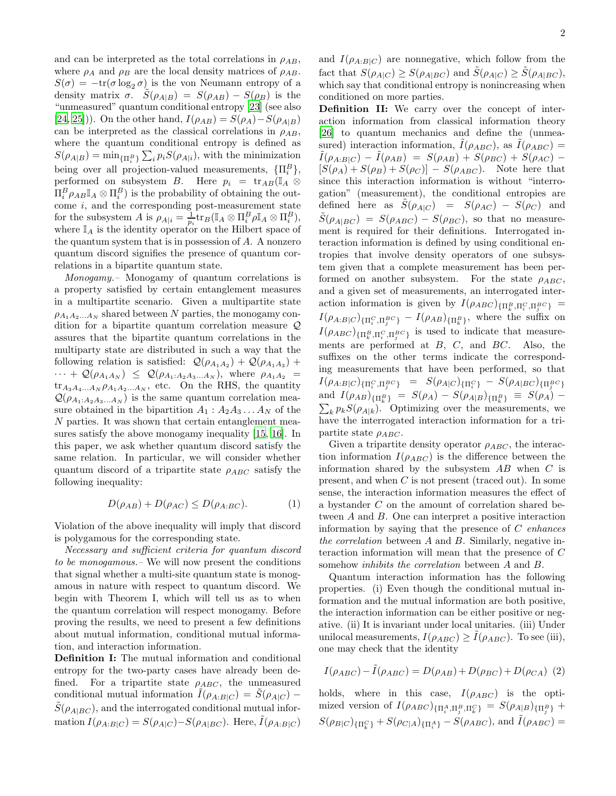and can be interpreted as the total correlations in  $\rho_{AB}$ , where  $\rho_A$  and  $\rho_B$  are the local density matrices of  $\rho_{AB}$ .  $S(\sigma) = -\text{tr}(\sigma \log_2 \sigma)$  is the von Neumann entropy of a density matrix  $\sigma$ .  $S(\rho_{A|B}) = S(\rho_{AB}) - S(\rho_B)$  is the "unmeasured" quantum conditional entropy [\[23](#page-4-0)] (see also [\[24,](#page-4-1) [25](#page-4-2)])). On the other hand,  $I(\rho_{AB}) = S(\rho_A) - S(\rho_{A|B})$ can be interpreted as the classical correlations in  $\rho_{AB}$ , where the quantum conditional entropy is defined as  $S(\rho_{A|B}) = \min_{\{\Pi_i^B\}} \sum_i p_i S(\rho_{A|i}),$  with the minimization being over all projection-valued measurements,  $\{\Pi_i^B\},\$ performed on subsystem B. Here  $p_i = \text{tr}_{AB}(\mathbb{I}_A \otimes$  $\Pi_i^B \rho_{AB} \mathbb{I}_A \otimes \Pi_i^B$ ) is the probability of obtaining the outcome  $i$ , and the corresponding post-measurement state for the subsystem A is  $\rho_{A|i} = \frac{1}{p_i} tr_B(\mathbb{I}_A \otimes \Pi_i^B \rho \mathbb{I}_A \otimes \Pi_i^B),$ where  $\mathbb{I}_A$  is the identity operator on the Hilbert space of the quantum system that is in possession of  $A$ . A nonzero quantum discord signifies the presence of quantum correlations in a bipartite quantum state.

Monogamy.– Monogamy of quantum correlations is a property satisfied by certain entanglement measures in a multipartite scenario. Given a multipartite state  $\rho_{A_1A_2...A_N}$  shared between N parties, the monogamy condition for a bipartite quantum correlation measure Q assures that the bipartite quantum correlations in the multiparty state are distributed in such a way that the following relation is satisfied:  $\mathcal{Q}(\rho_{A_1A_2}) + \mathcal{Q}(\rho_{A_1A_3}) +$  $\cdots + \mathcal{Q}(\rho_{A_1A_N}) \leq \mathcal{Q}(\rho_{A_1:A_2A_3...A_N}),$  where  $\rho_{A_1A_2}$  =  $\text{tr}_{A_3A_4...A_N}\rho_{A_1A_2...A_N}$ , etc. On the RHS, the quantity  $\mathcal{Q}(\rho_{A_1:A_2A_3...A_N})$  is the same quantum correlation measure obtained in the bipartition  $A_1 : A_2 A_3 ... A_N$  of the N parties. It was shown that certain entanglement measures satisfy the above monogamy inequality [\[15](#page-3-12), [16](#page-3-13)]. In this paper, we ask whether quantum discord satisfy the same relation. In particular, we will consider whether quantum discord of a tripartite state  $\rho_{ABC}$  satisfy the following inequality:

<span id="page-1-0"></span>
$$
D(\rho_{AB}) + D(\rho_{AC}) \le D(\rho_{A:BC}).\tag{1}
$$

Violation of the above inequality will imply that discord is polygamous for the corresponding state.

Necessary and sufficient criteria for quantum discord to be monogamous.– We will now present the conditions that signal whether a multi-site quantum state is monogamous in nature with respect to quantum discord. We begin with Theorem I, which will tell us as to when the quantum correlation will respect monogamy. Before proving the results, we need to present a few definitions about mutual information, conditional mutual information, and interaction information.

Definition I: The mutual information and conditional entropy for the two-party cases have already been defined. For a tripartite state  $\rho_{ABC}$ , the unmeasured conditional mutual information  $I(\rho_{A:B|C}) = S(\rho_{A|C})$  –  $\tilde{S}(\rho_{A|BC})$ , and the interrogated conditional mutual information  $I(\rho_{A:B|C}) = S(\rho_{A|C}) - S(\rho_{A|BC})$ . Here,  $\tilde{I}(\rho_{A:B|C})$ 

and  $I(\rho_{A:B|C})$  are nonnegative, which follow from the fact that  $S(\rho_{A|C}) \geq S(\rho_{A|BC})$  and  $\tilde{S}(\rho_{A|C}) \geq \tilde{S}(\rho_{A|BC}),$ which say that conditional entropy is nonincreasing when conditioned on more parties.

Definition II: We carry over the concept of interaction information from classical information theory [\[26\]](#page-4-3) to quantum mechanics and define the (unmeasured) interaction information,  $I(\rho_{ABC})$ , as  $I(\rho_{ABC}) =$  $\tilde{I}(\rho_{A:B|C}) - \tilde{I}(\rho_{AB}) = S(\rho_{AB}) + S(\rho_{BC}) + S(\rho_{AC}) [S(\rho_A) + S(\rho_B) + S(\rho_C)] - S(\rho_{ABC})$ . Note here that since this interaction information is without "interrogation" (measurement), the conditional entropies are defined here as  $S(\rho_{A|C}) = S(\rho_{AC}) - S(\rho_C)$  and  $\tilde{S}(\rho_{A|BC}) = S(\rho_{ABC}) - S(\rho_{BC})$ , so that no measurement is required for their definitions. Interrogated interaction information is defined by using conditional entropies that involve density operators of one subsystem given that a complete measurement has been performed on another subsystem. For the state  $\rho_{ABC}$ , and a given set of measurements, an interrogated interaction information is given by  $I(\rho_{ABC})_{\{\Pi^B_k, \Pi^C_i, \Pi^B_j\}} =$  $I(\rho_{A:B|C})_{\{\Pi_i^C,\Pi_j^{BC}\}} - I(\rho_{AB})_{\{\Pi_k^B\}},$  where the suffix on  $I(\rho_{ABC})_{\{\Pi^B_k,\Pi^C_i,\Pi^B_j\} \text{ is used to indicate that measure-}$ ments are performed at  $B$ ,  $C$ , and  $BC$ . Also, the suffixes on the other terms indicate the corresponding measurements that have been performed, so that  $I(\rho_{A:B|C})_{\{\Pi_{i}^{C},\Pi_{j}^{BC}\}} \;\; = \;\; S(\rho_{A|C})_{\{\Pi_{i}^{C}\}} \; - \; S(\rho_{A|BC})_{\{\Pi_{j}^{BC}\}}$ and  $I(\rho_{AB})_{\{\Pi^B_k\}} = S(\rho_A) - S(\rho_{A|B})_{\{\Pi^B_k\}} \equiv S(\rho_A) \sum_{k} p_{k} S(\rho_{A|k})$ . Optimizing over the measurements, we have the interrogated interaction information for a tripartite state  $\rho_{ABC}$ .

Given a tripartite density operator  $\rho_{ABC}$ , the interaction information  $I(\rho_{ABC})$  is the difference between the information shared by the subsystem  $AB$  when  $C$  is present, and when C is not present (traced out). In some sense, the interaction information measures the effect of a bystander C on the amount of correlation shared between A and B. One can interpret a positive interaction information by saying that the presence of  $C$  enhances the correlation between A and B. Similarly, negative interaction information will mean that the presence of C somehow inhibits the correlation between A and B.

Quantum interaction information has the following properties. (i) Even though the conditional mutual information and the mutual information are both positive, the interaction information can be either positive or negative. (ii) It is invariant under local unitaries. (iii) Under unilocal measurements,  $I(\rho_{ABC}) \geq \tilde{I}(\rho_{ABC})$ . To see (iii), one may check that the identity

$$
I(\rho_{ABC}) - \tilde{I}(\rho_{ABC}) = D(\rho_{AB}) + D(\rho_{BC}) + D(\rho_{CA})
$$
 (2)

holds, where in this case,  $I(\rho_{ABC})$  is the optimized version of  $I(\rho_{ABC})_{\{\Pi_i^A,\Pi_j^B,\Pi_k^C\}} = S(\rho_{A|B})_{\{\Pi_j^B\}} +$  $S(\rho_{B|C})_{\{\Pi_k^C\}} + S(\rho_{C|A})_{\{\Pi_i^A\}} - S(\rho_{ABC})$ , and  $\tilde{I}(\rho_{ABC}) =$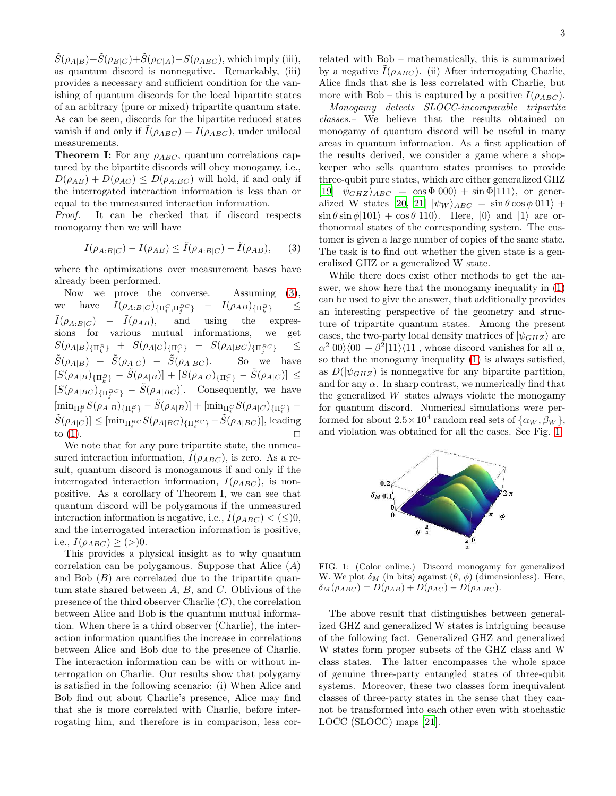$\tilde{S}(\rho_{A|B})+\tilde{S}(\rho_{B|C})+\tilde{S}(\rho_{C|A})-S(\rho_{ABC}),$  which imply (iii), as quantum discord is nonnegative. Remarkably, (iii) provides a necessary and sufficient condition for the vanishing of quantum discords for the local bipartite states of an arbitrary (pure or mixed) tripartite quantum state. As can be seen, discords for the bipartite reduced states vanish if and only if  $I(\rho_{ABC}) = I(\rho_{ABC})$ , under unilocal measurements.

**Theorem I:** For any  $\rho_{ABC}$ , quantum correlations captured by the bipartite discords will obey monogamy, i.e.,  $D(\rho_{AB}) + D(\rho_{AC}) \leq D(\rho_{A:BC})$  will hold, if and only if the interrogated interaction information is less than or equal to the unmeasured interaction information.

Proof. It can be checked that if discord respects monogamy then we will have

<span id="page-2-0"></span>
$$
I(\rho_{A:B|C}) - I(\rho_{AB}) \le \tilde{I}(\rho_{A:B|C}) - \tilde{I}(\rho_{AB}), \qquad (3)
$$

where the optimizations over measurement bases have already been performed.

Now we prove the converse. Assuming  $(3)$ , we have  $I(\rho_{A:B|C})_{\{\Pi_i^C,\Pi_j^{BC}\}}$  $\}$  –  $I(\rho_{AB})_{\{\Pi^B_k}$  $\leq$  $\tilde{I}(\rho_{A:B|C}) - \tilde{I}(\rho_{AB}),$  and using the expressions for various mutual informations, we get  $S(\rho_{A|B})_{\{\Pi^B_k\}} ~+~ S(\rho_{A|C})_{\{\Pi^C_i\}} ~-~ S(\rho_{A|BC})_{\{\Pi^B_j}^C}$  $\leq$  $\tilde{S}(\rho_{A|B}) + \tilde{S}(\rho_{A|C}) - \tilde{S}(\rho_{A|BC})$ . So we have  $[S(\rho_{A|B})_{\{\Pi^B_k\}} - \tilde{S}(\rho_{A|B})] + [S(\rho_{A|C})_{\{\Pi^C_i\}} - \tilde{S}(\rho_{A|C})] \leq$  $[S(\rho_{A|BC})_{\{\Pi_j^{BC}\}} - \tilde{S}(\rho_{A|BC})]$ . Consequently, we have  $[\min_{\Pi_i^B} S(\rho_{A|B})_{\{\Pi_i^B\}} - \tilde{S}(\rho_{A|B})] + [\min_{\Pi_i^C} S(\rho_{A|C})_{\{\Pi_i^C\}} [\tilde{S}(\rho_{A|C})] \leq [\min_{\Pi_i^{BC}} S(\rho_{A|BC})_{\{\Pi_i^{BC}\}} - \tilde{S}(\rho_{A|BC})],$  leading to [\(1\)](#page-1-0).  $\Box$ 

We note that for any pure tripartite state, the unmeasured interaction information,  $I(\rho_{ABC})$ , is zero. As a result, quantum discord is monogamous if and only if the interrogated interaction information,  $I(\rho_{ABC})$ , is nonpositive. As a corollary of Theorem I, we can see that quantum discord will be polygamous if the unmeasured interaction information is negative, i.e.,  $I(\rho_{ABC}) < (\leq)0$ , and the interrogated interaction information is positive, i.e.,  $I(\rho_{ABC}) \geq (>)0$ .

This provides a physical insight as to why quantum correlation can be polygamous. Suppose that Alice  $(A)$ and Bob  $(B)$  are correlated due to the tripartite quantum state shared between  $A, B$ , and  $C$ . Oblivious of the presence of the third observer Charlie  $(C)$ , the correlation between Alice and Bob is the quantum mutual information. When there is a third observer (Charlie), the interaction information quantifies the increase in correlations between Alice and Bob due to the presence of Charlie. The interaction information can be with or without interrogation on Charlie. Our results show that polygamy is satisfied in the following scenario: (i) When Alice and Bob find out about Charlie's presence, Alice may find that she is more correlated with Charlie, before interrogating him, and therefore is in comparison, less correlated with Bob – mathematically, this is summarized by a negative  $I(\rho_{ABC})$ . (ii) After interrogating Charlie, Alice finds that she is less correlated with Charlie, but more with Bob – this is captured by a positive  $I(\rho_{ABC})$ .

Monogamy detects SLOCC-incomparable tripartite classes.– We believe that the results obtained on monogamy of quantum discord will be useful in many areas in quantum information. As a first application of the results derived, we consider a game where a shopkeeper who sells quantum states promises to provide three-qubit pure states, which are either generalized GHZ [\[19\]](#page-3-16)  $|\psi_{GHZ}\rangle_{ABC} = \cos\Phi|000\rangle + \sin\Phi|111\rangle$ , or gener-alized W states [\[20](#page-3-17), [21\]](#page-3-18)  $|\psi_W\rangle_{ABC} = \sin \theta \cos \phi |011\rangle +$  $\sin \theta \sin \phi |101\rangle + \cos \theta |110\rangle$ . Here,  $|0\rangle$  and  $|1\rangle$  are orthonormal states of the corresponding system. The customer is given a large number of copies of the same state. The task is to find out whether the given state is a generalized GHZ or a generalized W state.

While there does exist other methods to get the answer, we show here that the monogamy inequality in [\(1\)](#page-1-0) can be used to give the answer, that additionally provides an interesting perspective of the geometry and structure of tripartite quantum states. Among the present cases, the two-party local density matrices of  $|\psi_{GHZ}\rangle$  are  $\alpha^2|00\rangle\langle00| + \beta^2|11\rangle\langle11|$ , whose discord vanishes for all  $\alpha$ , so that the monogamy inequality [\(1\)](#page-1-0) is always satisfied, as  $D(|\psi_{GHZ}|)$  is nonnegative for any bipartite partition, and for any  $\alpha$ . In sharp contrast, we numerically find that the generalized W states always violate the monogamy for quantum discord. Numerical simulations were performed for about  $2.5 \times 10^4$  random real sets of  $\{\alpha_W, \beta_W\},$ and violation was obtained for all the cases. See Fig. [1.](#page-2-1)



<span id="page-2-1"></span>FIG. 1: (Color online.) Discord monogamy for generalized W. We plot  $\delta_M$  (in bits) against  $(\theta, \phi)$  (dimensionless). Here,  $\delta_M(\rho_{ABC}) = D(\rho_{AB}) + D(\rho_{AC}) - D(\rho_{A:BC}).$ 

The above result that distinguishes between generalized GHZ and generalized W states is intriguing because of the following fact. Generalized GHZ and generalized W states form proper subsets of the GHZ class and W class states. The latter encompasses the whole space of genuine three-party entangled states of three-qubit systems. Moreover, these two classes form inequivalent classes of three-party states in the sense that they cannot be transformed into each other even with stochastic LOCC (SLOCC) maps [\[21\]](#page-3-18).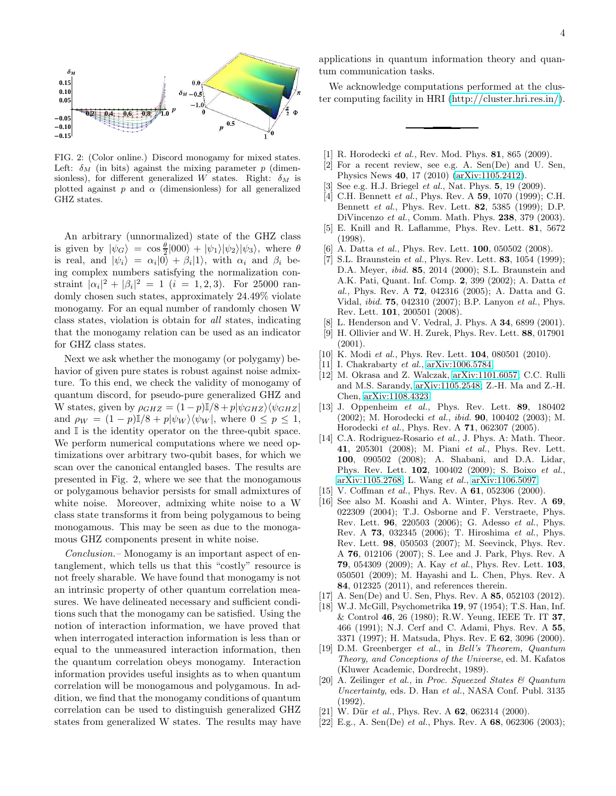

FIG. 2: (Color online.) Discord monogamy for mixed states. Left:  $\delta_M$  (in bits) against the mixing parameter p (dimensionless), for different generalized W states. Right:  $\delta_M$  is plotted against  $p$  and  $\alpha$  (dimensionless) for all generalized GHZ states.

An arbitrary (unnormalized) state of the GHZ class is given by  $|\psi_G\rangle = \cos \frac{\theta}{2} |000\rangle + |\psi_1\rangle |\psi_2\rangle |\psi_3\rangle$ , where  $\theta$ is real, and  $|\psi_i\rangle = \alpha_i |0\rangle + \beta_i |1\rangle$ , with  $\alpha_i$  and  $\beta_i$  being complex numbers satisfying the normalization constraint  $|\alpha_i|^2 + |\beta_i|^2 = 1$  (i = 1, 2, 3). For 25000 randomly chosen such states, approximately 24.49% violate monogamy. For an equal number of randomly chosen W class states, violation is obtain for all states, indicating that the monogamy relation can be used as an indicator for GHZ class states.

Next we ask whether the monogamy (or polygamy) behavior of given pure states is robust against noise admixture. To this end, we check the validity of monogamy of quantum discord, for pseudo-pure generalized GHZ and W states, given by  $\rho_{GHZ} = (1-p)\mathbb{I}/8 + p|\psi_{GHZ}\rangle\langle\psi_{GHZ}|$ and  $\rho_W = (1 - p)\mathbb{I}/8 + p|\psi_W\rangle\langle\psi_W|$ , where  $0 \le p \le 1$ , and  $\mathbb I$  is the identity operator on the three-qubit space. We perform numerical computations where we need optimizations over arbitrary two-qubit bases, for which we scan over the canonical entangled bases. The results are presented in Fig. 2, where we see that the monogamous or polygamous behavior persists for small admixtures of white noise. Moreover, admixing white noise to a W class state transforms it from being polygamous to being monogamous. This may be seen as due to the monogamous GHZ components present in white noise.

Conclusion.– Monogamy is an important aspect of entanglement, which tells us that this "costly" resource is not freely sharable. We have found that monogamy is not an intrinsic property of other quantum correlation measures. We have delineated necessary and sufficient conditions such that the monogamy can be satisfied. Using the notion of interaction information, we have proved that when interrogated interaction information is less than or equal to the unmeasured interaction information, then the quantum correlation obeys monogamy. Interaction information provides useful insights as to when quantum correlation will be monogamous and polygamous. In addition, we find that the monogamy conditions of quantum correlation can be used to distinguish generalized GHZ states from generalized W states. The results may have applications in quantum information theory and quantum communication tasks.

We acknowledge computations performed at the cluster computing facility in HRI [\(http://cluster.hri.res.in/\)](http://cluster.hri.res.in/).

- <span id="page-3-0"></span>[1] R. Horodecki et al., Rev. Mod. Phys. 81, 865 (2009).
- <span id="page-3-1"></span>[2] For a recent review, see e.g. A. Sen(De) and U. Sen, Physics News 40, 17 (2010) [\(arXiv:1105.2412\)](http://arxiv.org/abs/1105.2412).
- <span id="page-3-2"></span>[3] See e.g. H.J. Briegel *et al.*, Nat. Phys. **5**, 19 (2009).
- <span id="page-3-3"></span>[4] C.H. Bennett *et al.*, Phys. Rev. A **59**, 1070 (1999); C.H. Bennett et al., Phys. Rev. Lett. 82, 5385 (1999); D.P. DiVincenzo et al., Comm. Math. Phys. 238, 379 (2003).
- <span id="page-3-4"></span>[5] E. Knill and R. Laflamme, Phys. Rev. Lett. 81, 5672 (1998).
- [6] A. Datta et al., Phys. Rev. Lett. **100**, 050502 (2008).
- <span id="page-3-5"></span>[7] S.L. Braunstein *et al.*, Phys. Rev. Lett. **83**,  $1054$  (1999); D.A. Meyer, ibid. 85, 2014 (2000); S.L. Braunstein and A.K. Pati, Quant. Inf. Comp. 2, 399 (2002); A. Datta et al., Phys. Rev. A 72, 042316 (2005); A. Datta and G. Vidal, ibid. 75, 042310 (2007); B.P. Lanyon et al., Phys. Rev. Lett. 101, 200501 (2008).
- <span id="page-3-6"></span>[8] L. Henderson and V. Vedral, J. Phys. A **34**, 6899 (2001).
- <span id="page-3-7"></span>[9] H. Ollivier and W. H. Zurek, Phys. Rev. Lett. 88, 017901 (2001).
- <span id="page-3-8"></span>[10] K. Modi et al., Phys. Rev. Lett. **104**, 080501 (2010).
- <span id="page-3-9"></span>[11] I. Chakrabarty et al., [arXiv:1006.5784.](http://arxiv.org/abs/1006.5784)
- <span id="page-3-10"></span>[12] M. Okrasa and Z. Walczak, [arXiv:1101.6057;](http://arxiv.org/abs/1101.6057) C.C. Rulli and M.S. Sarandy, [arXiv:1105.2548;](http://arxiv.org/abs/1105.2548) Z.-H. Ma and Z.-H. Chen, [arXiv:1108.4323.](http://arxiv.org/abs/1108.4323)
- [13] J. Oppenheim et al., Phys. Rev. Lett. 89, 180402 (2002); M. Horodecki et al., ibid. 90, 100402 (2003); M. Horodecki et al., Phys. Rev. A 71, 062307 (2005).
- <span id="page-3-11"></span>[14] C.A. Rodriguez-Rosario et al., J. Phys. A: Math. Theor. 41, 205301 (2008); M. Piani et al., Phys. Rev. Lett. 100, 090502 (2008); A. Shabani, and D.A. Lidar, Phys. Rev. Lett. 102, 100402 (2009); S. Boixo et al., [arXiv:1105.2768;](http://arxiv.org/abs/1105.2768) L. Wang et al., [arXiv:1106.5097.](http://arxiv.org/abs/1106.5097)
- <span id="page-3-12"></span>[15] V. Coffman et al., Phys. Rev. A 61, 052306 (2000).
- <span id="page-3-13"></span>[16] See also M. Koashi and A. Winter, Phys. Rev. A 69, 022309 (2004); T.J. Osborne and F. Verstraete, Phys. Rev. Lett. 96, 220503 (2006); G. Adesso et al., Phys. Rev. A 73, 032345 (2006); T. Hiroshima et al., Phys. Rev. Lett. 98, 050503 (2007); M. Seevinck, Phys. Rev. A 76, 012106 (2007); S. Lee and J. Park, Phys. Rev. A 79, 054309 (2009); A. Kay et al., Phys. Rev. Lett. 103, 050501 (2009); M. Hayashi and L. Chen, Phys. Rev. A 84, 012325 (2011), and references therein.
- <span id="page-3-14"></span>[17] A. Sen(De) and U. Sen, Phys. Rev. A 85, 052103 (2012).
- <span id="page-3-15"></span>[18] W.J. McGill, Psychometrika 19, 97 (1954); T.S. Han, Inf. & Control 46, 26 (1980); R.W. Yeung, IEEE Tr. IT 37, 466 (1991); N.J. Cerf and C. Adami, Phys. Rev. A 55, 3371 (1997); H. Matsuda, Phys. Rev. E 62, 3096 (2000).
- <span id="page-3-16"></span>[19] D.M. Greenberger et al., in Bell's Theorem, Quantum Theory, and Conceptions of the Universe, ed. M. Kafatos (Kluwer Academic, Dordrecht, 1989).
- <span id="page-3-17"></span>[20] A. Zeilinger et al., in Proc. Squeezed States & Quantum Uncertainty, eds. D. Han et al., NASA Conf. Publ. 3135 (1992).
- <span id="page-3-18"></span>[21] W. Dür et al., Phys. Rev. A  $62$ , 062314 (2000).
- <span id="page-3-19"></span>[22] E.g., A. Sen(De) et al., Phys. Rev. A  $68$ , 062306 (2003);